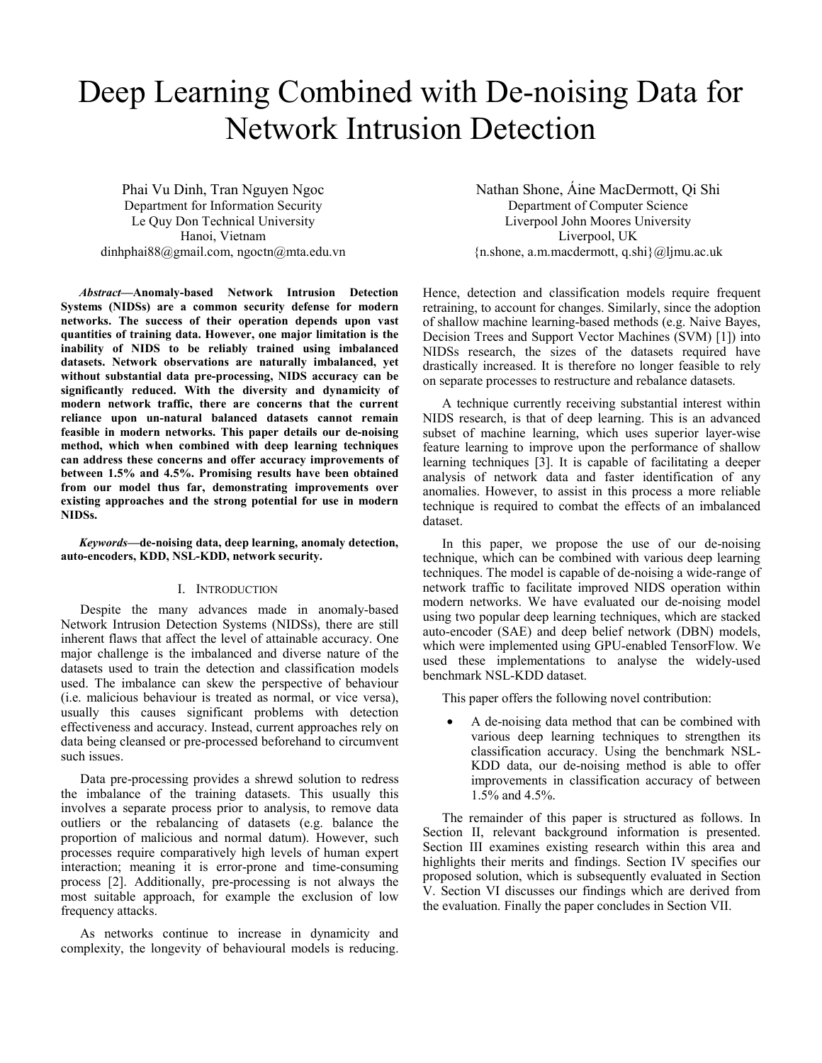# Deep Learning Combined with De-noising Data for Network Intrusion Detection

Phai Vu Dinh, Tran Nguyen Ngoc Department for Information Security Le Quy Don Technical University Hanoi, Vietnam dinhphai88@gmail.com, ngoctn@mta.edu.vn

*Abstract—***Anomaly-based Network Intrusion Detection Systems (NIDSs) are a common security defense for modern networks. The success of their operation depends upon vast quantities of training data. However, one major limitation is the inability of NIDS to be reliably trained using imbalanced datasets. Network observations are naturally imbalanced, yet without substantial data pre-processing, NIDS accuracy can be significantly reduced. With the diversity and dynamicity of modern network traffic, there are concerns that the current reliance upon un-natural balanced datasets cannot remain feasible in modern networks. This paper details our de-noising method, which when combined with deep learning techniques can address these concerns and offer accuracy improvements of between 1.5% and 4.5%. Promising results have been obtained from our model thus far, demonstrating improvements over existing approaches and the strong potential for use in modern NIDSs.** 

*Keywords—***de-noising data, deep learning, anomaly detection, auto-encoders, KDD, NSL-KDD, network security.**

# I. INTRODUCTION

Despite the many advances made in anomaly-based Network Intrusion Detection Systems (NIDSs), there are still inherent flaws that affect the level of attainable accuracy. One major challenge is the imbalanced and diverse nature of the datasets used to train the detection and classification models used. The imbalance can skew the perspective of behaviour (i.e. malicious behaviour is treated as normal, or vice versa), usually this causes significant problems with detection effectiveness and accuracy. Instead, current approaches rely on data being cleansed or pre-processed beforehand to circumvent such issues.

Data pre-processing provides a shrewd solution to redress the imbalance of the training datasets. This usually this involves a separate process prior to analysis, to remove data outliers or the rebalancing of datasets (e.g. balance the proportion of malicious and normal datum). However, such processes require comparatively high levels of human expert interaction; meaning it is error-prone and time-consuming process [2]. Additionally, pre-processing is not always the most suitable approach, for example the exclusion of low frequency attacks.

As networks continue to increase in dynamicity and complexity, the longevity of behavioural models is reducing.

Nathan Shone, Áine MacDermott, Qi Shi Department of Computer Science Liverpool John Moores University Liverpool, UK {n.shone, a.m.macdermott, q.shi}@ljmu.ac.uk

Hence, detection and classification models require frequent retraining, to account for changes. Similarly, since the adoption of shallow machine learning-based methods (e.g. Naive Bayes, Decision Trees and Support Vector Machines (SVM) [1]) into NIDSs research, the sizes of the datasets required have drastically increased. It is therefore no longer feasible to rely on separate processes to restructure and rebalance datasets.

A technique currently receiving substantial interest within NIDS research, is that of deep learning. This is an advanced subset of machine learning, which uses superior layer-wise feature learning to improve upon the performance of shallow learning techniques [3]. It is capable of facilitating a deeper analysis of network data and faster identification of any anomalies. However, to assist in this process a more reliable technique is required to combat the effects of an imbalanced dataset.

In this paper, we propose the use of our de-noising technique, which can be combined with various deep learning techniques. The model is capable of de-noising a wide-range of network traffic to facilitate improved NIDS operation within modern networks. We have evaluated our de-noising model using two popular deep learning techniques, which are stacked auto-encoder (SAE) and deep belief network (DBN) models, which were implemented using GPU-enabled TensorFlow. We used these implementations to analyse the widely-used benchmark NSL-KDD dataset.

This paper offers the following novel contribution:

• A de-noising data method that can be combined with various deep learning techniques to strengthen its classification accuracy. Using the benchmark NSL-KDD data, our de-noising method is able to offer improvements in classification accuracy of between 1.5% and 4.5%.

The remainder of this paper is structured as follows. In Section II, relevant background information is presented. Section III examines existing research within this area and highlights their merits and findings. Section IV specifies our proposed solution, which is subsequently evaluated in Section V. Section VI discusses our findings which are derived from the evaluation. Finally the paper concludes in Section VII.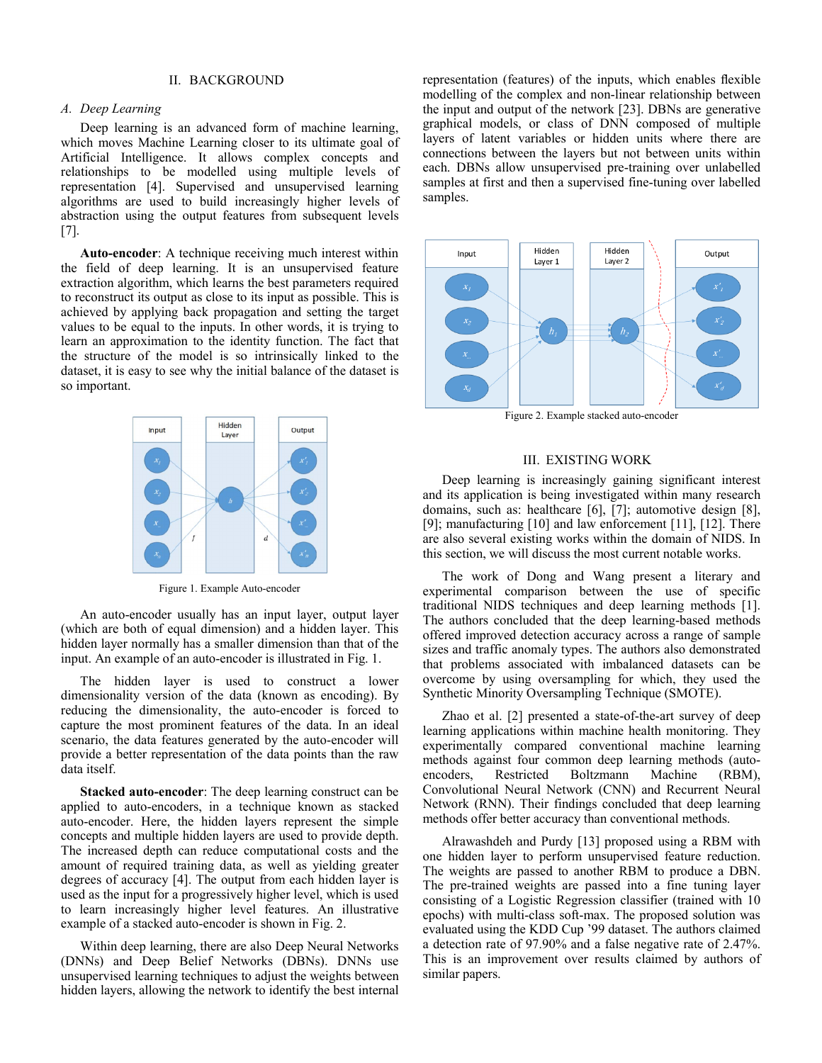## II. BACKGROUND

## *A. Deep Learning*

Deep learning is an advanced form of machine learning, which moves Machine Learning closer to its ultimate goal of Artificial Intelligence. It allows complex concepts and relationships to be modelled using multiple levels of representation [4]. Supervised and unsupervised learning algorithms are used to build increasingly higher levels of abstraction using the output features from subsequent levels [7].

**Auto-encoder**: A technique receiving much interest within the field of deep learning. It is an unsupervised feature extraction algorithm, which learns the best parameters required to reconstruct its output as close to its input as possible. This is achieved by applying back propagation and setting the target values to be equal to the inputs. In other words, it is trying to learn an approximation to the identity function. The fact that the structure of the model is so intrinsically linked to the dataset, it is easy to see why the initial balance of the dataset is so important.



Figure 1. Example Auto-encoder

An auto-encoder usually has an input layer, output layer (which are both of equal dimension) and a hidden layer. This hidden layer normally has a smaller dimension than that of the input. An example of an auto-encoder is illustrated in Fig. 1.

The hidden layer is used to construct a lower dimensionality version of the data (known as encoding). By reducing the dimensionality, the auto-encoder is forced to capture the most prominent features of the data. In an ideal scenario, the data features generated by the auto-encoder will provide a better representation of the data points than the raw data itself.

**Stacked auto-encoder**: The deep learning construct can be applied to auto-encoders, in a technique known as stacked auto-encoder. Here, the hidden layers represent the simple concepts and multiple hidden layers are used to provide depth. The increased depth can reduce computational costs and the amount of required training data, as well as yielding greater degrees of accuracy [4]. The output from each hidden layer is used as the input for a progressively higher level, which is used to learn increasingly higher level features. An illustrative example of a stacked auto-encoder is shown in Fig. 2.

Within deep learning, there are also Deep Neural Networks (DNNs) and Deep Belief Networks (DBNs). DNNs use unsupervised learning techniques to adjust the weights between hidden layers, allowing the network to identify the best internal

representation (features) of the inputs, which enables flexible modelling of the complex and non-linear relationship between the input and output of the network [23]. DBNs are generative graphical models, or class of DNN composed of multiple layers of latent variables or hidden units where there are connections between the layers but not between units within each. DBNs allow unsupervised pre-training over unlabelled samples at first and then a supervised fine-tuning over labelled samples.



Figure 2. Example stacked auto-encoder

#### III. EXISTING WORK

Deep learning is increasingly gaining significant interest and its application is being investigated within many research domains, such as: healthcare [6], [7]; automotive design [8], [9]; manufacturing [10] and law enforcement [11], [12]. There are also several existing works within the domain of NIDS. In this section, we will discuss the most current notable works.

The work of Dong and Wang present a literary and experimental comparison between the use of specific traditional NIDS techniques and deep learning methods [1]. The authors concluded that the deep learning-based methods offered improved detection accuracy across a range of sample sizes and traffic anomaly types. The authors also demonstrated that problems associated with imbalanced datasets can be overcome by using oversampling for which, they used the Synthetic Minority Oversampling Technique (SMOTE).

Zhao et al. [2] presented a state-of-the-art survey of deep learning applications within machine health monitoring. They experimentally compared conventional machine learning methods against four common deep learning methods (autoencoders, Restricted Boltzmann Machine (RBM), Convolutional Neural Network (CNN) and Recurrent Neural Network (RNN). Their findings concluded that deep learning methods offer better accuracy than conventional methods.

Alrawashdeh and Purdy [13] proposed using a RBM with one hidden layer to perform unsupervised feature reduction. The weights are passed to another RBM to produce a DBN. The pre-trained weights are passed into a fine tuning layer consisting of a Logistic Regression classifier (trained with 10 epochs) with multi-class soft-max. The proposed solution was evaluated using the KDD Cup '99 dataset. The authors claimed a detection rate of 97.90% and a false negative rate of 2.47%. This is an improvement over results claimed by authors of similar papers.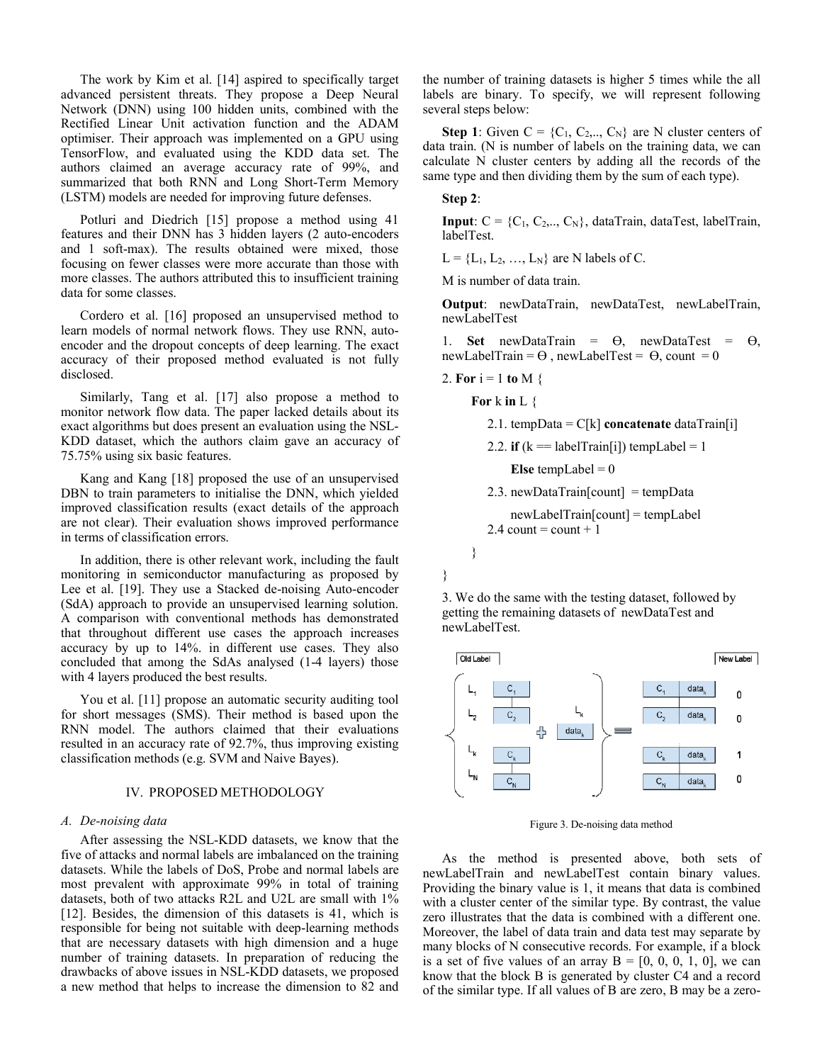The work by Kim et al. [14] aspired to specifically target advanced persistent threats. They propose a Deep Neural Network (DNN) using 100 hidden units, combined with the Rectified Linear Unit activation function and the ADAM optimiser. Their approach was implemented on a GPU using TensorFlow, and evaluated using the KDD data set. The authors claimed an average accuracy rate of 99%, and summarized that both RNN and Long Short-Term Memory (LSTM) models are needed for improving future defenses.

Potluri and Diedrich [15] propose a method using 41 features and their DNN has 3 hidden layers (2 auto-encoders and 1 soft-max). The results obtained were mixed, those focusing on fewer classes were more accurate than those with more classes. The authors attributed this to insufficient training data for some classes.

Cordero et al. [16] proposed an unsupervised method to learn models of normal network flows. They use RNN, autoencoder and the dropout concepts of deep learning. The exact accuracy of their proposed method evaluated is not fully disclosed.

Similarly, Tang et al. [17] also propose a method to monitor network flow data. The paper lacked details about its exact algorithms but does present an evaluation using the NSL-KDD dataset, which the authors claim gave an accuracy of 75.75% using six basic features.

Kang and Kang [18] proposed the use of an unsupervised DBN to train parameters to initialise the DNN, which yielded improved classification results (exact details of the approach are not clear). Their evaluation shows improved performance in terms of classification errors.

In addition, there is other relevant work, including the fault monitoring in semiconductor manufacturing as proposed by Lee et al. [19]. They use a Stacked de-noising Auto-encoder (SdA) approach to provide an unsupervised learning solution. A comparison with conventional methods has demonstrated that throughout different use cases the approach increases accuracy by up to 14%. in different use cases. They also concluded that among the SdAs analysed (1-4 layers) those with 4 layers produced the best results.

You et al. [11] propose an automatic security auditing tool for short messages (SMS). Their method is based upon the RNN model. The authors claimed that their evaluations resulted in an accuracy rate of 92.7%, thus improving existing classification methods (e.g. SVM and Naive Bayes).

## IV. PROPOSED METHODOLOGY

## *A. De-noising data*

After assessing the NSL-KDD datasets, we know that the five of attacks and normal labels are imbalanced on the training datasets. While the labels of DoS, Probe and normal labels are most prevalent with approximate 99% in total of training datasets, both of two attacks R2L and U2L are small with 1% [12]. Besides, the dimension of this datasets is 41, which is responsible for being not suitable with deep-learning methods that are necessary datasets with high dimension and a huge number of training datasets. In preparation of reducing the drawbacks of above issues in NSL-KDD datasets, we proposed a new method that helps to increase the dimension to 82 and

the number of training datasets is higher 5 times while the all labels are binary. To specify, we will represent following several steps below:

**Step 1**: Given  $C = \{C_1, C_2, \ldots, C_N\}$  are N cluster centers of data train. (N is number of labels on the training data, we can calculate N cluster centers by adding all the records of the same type and then dividing them by the sum of each type).

# **Step 2**:

**Input**:  $C = \{C_1, C_2, \ldots, C_N\}$ , dataTrain, dataTest, labelTrain, labelTest.

 $L = \{L_1, L_2, ..., L_N\}$  are N labels of C.

M is number of data train.

**Output**: newDataTrain, newDataTest, newLabelTrain, newLabelTest

1. **Set** newDataTrain = Ө, newDataTest = Ө, newLabelTrain =  $\Theta$ , newLabelTest =  $\Theta$ , count = 0

2. For 
$$
i = 1
$$
 to M {

**For** k **in** L {

```
 2.1. tempData = C[k] concatenate dataTrain[i] 
2.2. if (k == labelTrain[i]) tempLabel = 1
    Else tempLabel = 02.3. newDataTrain[count] = tempData
     newLabelTrain[count] = tempLabel 
2.4 count = count + 1
```


}

}

3. We do the same with the testing dataset, followed by getting the remaining datasets of newDataTest and newLabelTest.



Figure 3. De-noising data method

As the method is presented above, both sets of newLabelTrain and newLabelTest contain binary values. Providing the binary value is 1, it means that data is combined with a cluster center of the similar type. By contrast, the value zero illustrates that the data is combined with a different one. Moreover, the label of data train and data test may separate by many blocks of N consecutive records. For example, if a block is a set of five values of an array  $B = [0, 0, 0, 1, 0]$ , we can know that the block B is generated by cluster C4 and a record of the similar type. If all values of B are zero, B may be a zero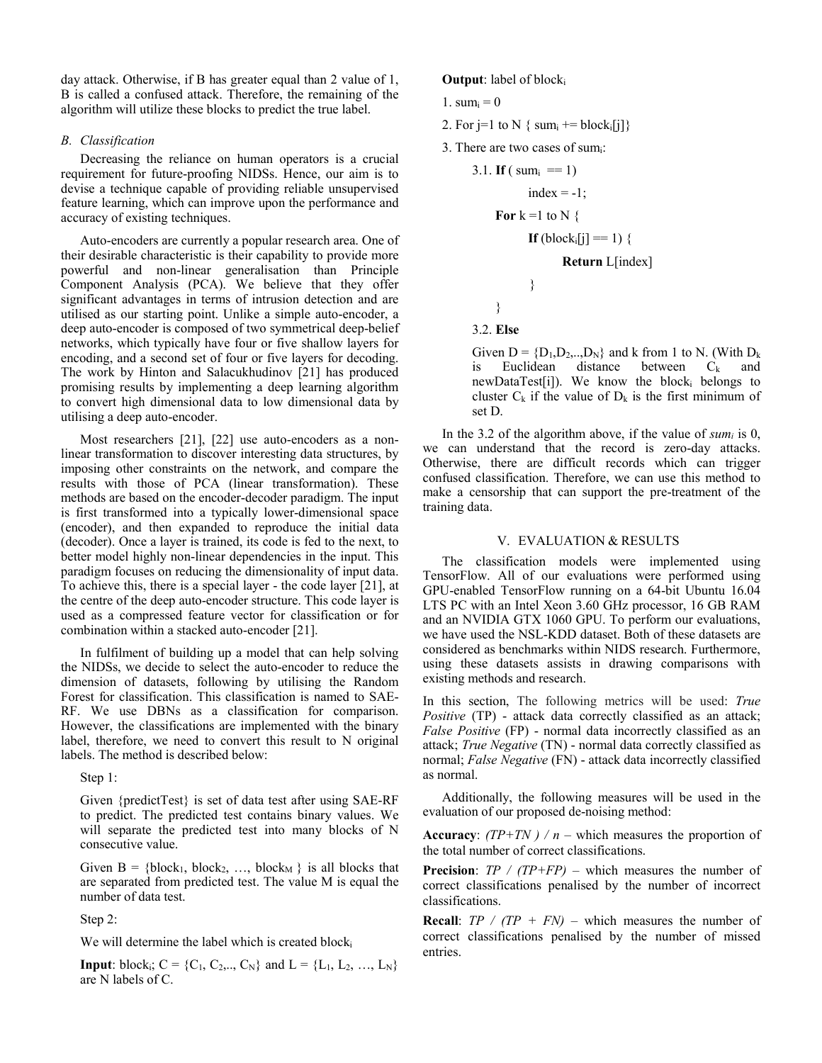day attack. Otherwise, if B has greater equal than 2 value of 1, B is called a confused attack. Therefore, the remaining of the algorithm will utilize these blocks to predict the true label.

# *B. Classification*

Decreasing the reliance on human operators is a crucial requirement for future-proofing NIDSs. Hence, our aim is to devise a technique capable of providing reliable unsupervised feature learning, which can improve upon the performance and accuracy of existing techniques.

Auto-encoders are currently a popular research area. One of their desirable characteristic is their capability to provide more powerful and non-linear generalisation than Principle Component Analysis (PCA). We believe that they offer significant advantages in terms of intrusion detection and are utilised as our starting point. Unlike a simple auto-encoder, a deep auto-encoder is composed of two symmetrical deep-belief networks, which typically have four or five shallow layers for encoding, and a second set of four or five layers for decoding. The work by Hinton and Salacukhudinov [21] has produced promising results by implementing a deep learning algorithm to convert high dimensional data to low dimensional data by utilising a deep auto-encoder.

Most researchers [21], [22] use auto-encoders as a nonlinear transformation to discover interesting data structures, by imposing other constraints on the network, and compare the results with those of PCA (linear transformation). These methods are based on the encoder-decoder paradigm. The input is first transformed into a typically lower-dimensional space (encoder), and then expanded to reproduce the initial data (decoder). Once a layer is trained, its code is fed to the next, to better model highly non-linear dependencies in the input. This paradigm focuses on reducing the dimensionality of input data. To achieve this, there is a special layer - the code layer [21], at the centre of the deep auto-encoder structure. This code layer is used as a compressed feature vector for classification or for combination within a stacked auto-encoder [21].

In fulfilment of building up a model that can help solving the NIDSs, we decide to select the auto-encoder to reduce the dimension of datasets, following by utilising the Random Forest for classification. This classification is named to SAE-RF. We use DBNs as a classification for comparison. However, the classifications are implemented with the binary label, therefore, we need to convert this result to N original labels. The method is described below:

Step 1:

Given {predictTest} is set of data test after using SAE-RF to predict. The predicted test contains binary values. We will separate the predicted test into many blocks of N consecutive value.

Given  $B = \{block_1, block_2, ..., block_M\}$  is all blocks that are separated from predicted test. The value M is equal the number of data test.

Step 2:

We will determine the label which is created block.

**Input**: block<sub>i</sub>;  $C = \{C_1, C_2, ..., C_N\}$  and  $L = \{L_1, L_2, ..., L_N\}$ are N labels of C.

**Output**: label of block<sub>i</sub>

- 1. sum $_{i} = 0$
- 2. For j=1 to N {  $sum_i$  += block<sub>i</sub>[j]}
- 3. There are two cases of sumi:

```
3.1. If (\text{sum}_{i} == 1)index = -1;
     For k = 1 to N {
             If (block<sub>i</sub>[i] == 1) {
                      Return L[index] 
              } 
      } 
3.2. Else
```
Given  $D = \{D_1, D_2, \ldots, D_N\}$  and k from 1 to N. (With  $D_k$ is Euclidean distance between  $C_k$  and newDataTest[i]). We know the blocki belongs to cluster  $C_k$  if the value of  $D_k$  is the first minimum of set D.

In the 3.2 of the algorithm above, if the value of  $sum_i$  is 0, we can understand that the record is zero-day attacks. Otherwise, there are difficult records which can trigger confused classification. Therefore, we can use this method to make a censorship that can support the pre-treatment of the training data.

# V. EVALUATION & RESULTS

The classification models were implemented using TensorFlow. All of our evaluations were performed using GPU-enabled TensorFlow running on a 64-bit Ubuntu 16.04 LTS PC with an Intel Xeon 3.60 GHz processor, 16 GB RAM and an NVIDIA GTX 1060 GPU. To perform our evaluations, we have used the NSL-KDD dataset. Both of these datasets are considered as benchmarks within NIDS research. Furthermore, using these datasets assists in drawing comparisons with existing methods and research.

In this section, The following metrics will be used: *True Positive* (TP) - attack data correctly classified as an attack; *False Positive* (FP) - normal data incorrectly classified as an attack; *True Negative* (TN) - normal data correctly classified as normal; *False Negative* (FN) - attack data incorrectly classified as normal.

Additionally, the following measures will be used in the evaluation of our proposed de-noising method:

**Accuracy**:  $(TP+TN) / n$  – which measures the proportion of the total number of correct classifications.

**Precision**: *TP / (TP+FP) –* which measures the number of correct classifications penalised by the number of incorrect classifications.

**Recall:**  $TP / (TP + FN)$  – which measures the number of correct classifications penalised by the number of missed entries.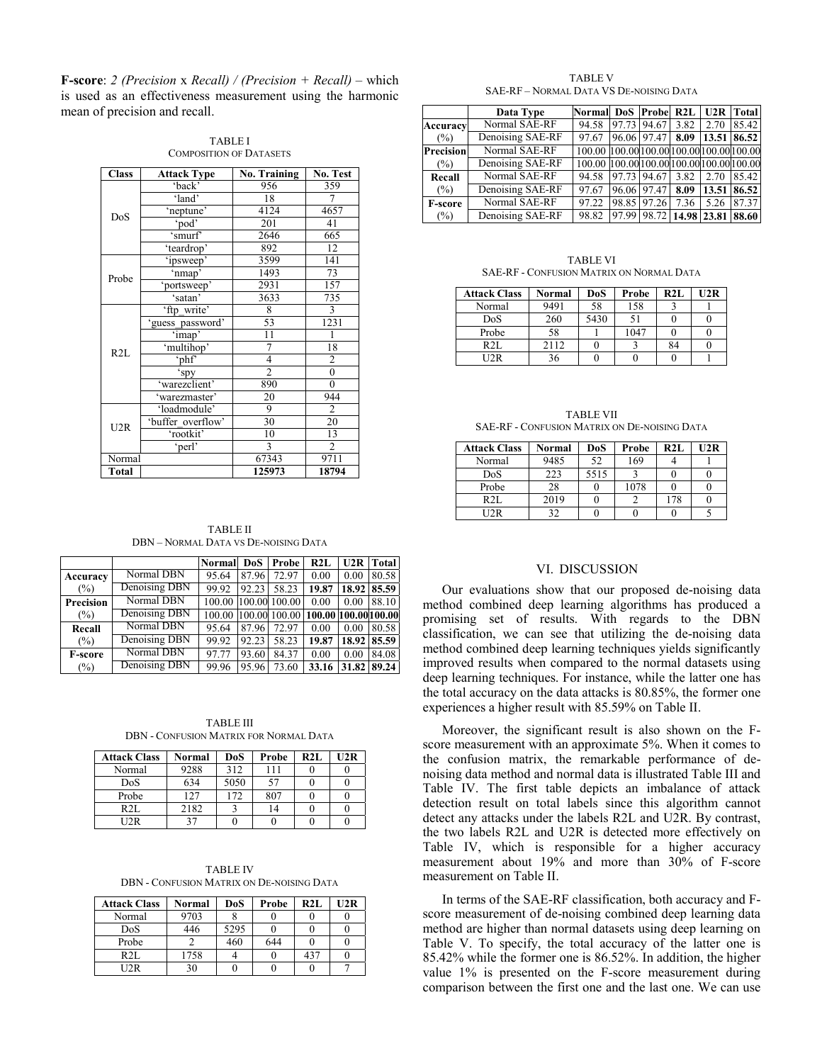**F-score**: *2 (Precision* x *Recall) / (Precision + Recall) –* which is used as an effectiveness measurement using the harmonic mean of precision and recall.

| <b>Class</b> | <b>Attack Type</b>    | <b>No. Training</b> | No. Test         |
|--------------|-----------------------|---------------------|------------------|
|              | 'back'                | 956                 | 359              |
|              | 'land'                | 18                  | 7                |
| DoS          | 'neptune'             | 4124                | 4657             |
|              | 'pod'                 | 201                 | 41               |
|              | $\sqrt{\text{smurf}}$ | 2646                | 665              |
|              | 'teardrop'            | 892                 | 12               |
|              | 'ipsweep'             | 3599                | 141              |
|              | 'nmap'                | 1493                | 73               |
| Probe        | portsweep'            | 2931                | 157              |
|              | 'satan'               | 3633                | 735              |
|              | 'ftp_write'           | 8                   | $\overline{3}$   |
|              | 'guess password'      | 53                  | 1231             |
| R2L          | 'imap'                | 11                  |                  |
|              | 'multihop'            | 7                   | 18               |
|              | 'phf                  | 4                   | $\overline{2}$   |
|              | 'spy                  | $\overline{2}$      | $\boldsymbol{0}$ |
|              | 'warezclient'         | 890                 | $\mathbf{0}$     |
|              | 'warezmaster'         | 20                  | 944              |
|              | 'loadmodule'          | 9                   | 2                |
| U2R          | 'buffer overflow'     | 30                  | 20               |
|              | 'rootkit'             | 10                  | 13               |
|              | 'perl'                | 3                   | $\overline{2}$   |
| Normal       |                       | 67343               | 9711             |
| <b>Total</b> |                       | 125973              | 18794            |

TABLE I COMPOSITION OF DATASETS

TABLE II DBN – NORMAL DATA VS DE-NOISING DATA

|                  |               | <b>Normal</b> | <b>DoS</b> | Probe  | R2L                  |       | <b>U2R</b> Total |
|------------------|---------------|---------------|------------|--------|----------------------|-------|------------------|
| Accuracy         | Normal DBN    | 95.64         | 87.96      | 72.97  | 0.00                 | 0.00  | 80.58            |
| $(\%)$           | Denoising DBN | 99.92         | 92.23      | 58.23  | 19.87                |       | 18.92 85.59      |
| <b>Precision</b> | Normal DBN    | 100.00        | 100.00     | 100.00 | 0.00                 | 0.00  | 88.10            |
| $(\%)$           | Denoising DBN | 100.00        | 100.00     | 100.00 | 100.00 100.00 100.00 |       |                  |
| Recall           | Normal DBN    | 95.64         | 87.96      | 72.97  | 0.00                 | 0.00  | 80.58            |
| $(\%)$           | Denoising DBN | 99.92         | 92.23      | 58.23  | 19.87                | 18.92 | 85.59            |
| <b>F-score</b>   | Normal DBN    | 97.77         | 93.60      | 84.37  | 0.00                 | 0.00  | 84.08            |
| $(\%)$           | Denoising DBN | 99.96         | 95.96      | 73.60  | 33.16                | 31.82 | 89.24            |

TABLE III DBN - CONFUSION MATRIX FOR NORMAL DATA

| <b>Attack Class</b> | Normal | DoS  | Probe | <b>R2L</b> | U2R |
|---------------------|--------|------|-------|------------|-----|
| Normal              | 9288   | 312  | 111   |            |     |
| DoS                 | 634    | 5050 |       |            |     |
| Probe               | 127    | 172  | 807   |            |     |
| R2I                 | 2182   |      |       |            |     |
| T2R                 | 37     |      |       |            |     |

TABLE IV DBN - CONFUSION MATRIX ON DE-NOISING DATA

| <b>Attack Class</b> | Normal | DoS  | Probe | R2L | U2R |
|---------------------|--------|------|-------|-----|-----|
| Normal              | 9703   |      |       |     |     |
| DoS                 | 446    | 5295 |       |     |     |
| Probe               |        | 460  | 644   |     |     |
| R2L                 | 1758   |      |       | 437 |     |
| U2R                 | 30     |      |       |     |     |

TABLE V SAE-RF – NORMAL DATA VS DE-NOISING DATA

|                  | Data Type        | Normall DoS Probel R2L   U2R   Total      |                         |      |      |             |
|------------------|------------------|-------------------------------------------|-------------------------|------|------|-------------|
| Accuracy         | Normal SAE-RF    | 94.58                                     | 97.73 94.67             | 3.82 | 2.70 | 85.42       |
| $(\%)$           | Denoising SAE-RF | 97.67                                     | 96.06 97.47             | 8.09 |      | 13.51 86.52 |
| <b>Precision</b> | Normal SAE-RF    | 100.00 100.00 100.00 100.00 100.00 100.00 |                         |      |      |             |
| $(\%)$           | Denoising SAE-RF | 100.00 100.00 100.00 100.00 100.00 100.00 |                         |      |      |             |
| Recall           | Normal SAE-RF    | 94.58                                     | 97.73 94.67             | 3.82 | 2.70 | 85.42       |
| $(\%)$           | Denoising SAE-RF | 97.67                                     | 96.06 97.47             | 8.09 |      | 13.51 86.52 |
| <b>F-score</b>   | Normal SAE-RF    | 97.22                                     | 98.85 97.26             | 7.36 | 5.26 | 87.37       |
| $(\%)$           | Denoising SAE-RF | 98.82                                     | 97.99 98.72 14.98 23.81 |      |      | 88.60       |

TABLE VI SAE-RF - CONFUSION MATRIX ON NORMAL DATA

| <b>Attack Class</b> | <b>Normal</b> | DoS  | Probe | R2L | 112R |
|---------------------|---------------|------|-------|-----|------|
| Normal              | 9491          | 58   | 158   |     |      |
| DoS                 | 260           | 5430 | 51    |     |      |
| Probe               | 58            |      | 1047  |     |      |
| R2L                 | 2112          |      |       | 84  |      |
| 12R                 |               |      |       |     |      |

TABLE VII SAE-RF - CONFUSION MATRIX ON DE-NOISING DATA

| <b>Attack Class</b> | Normal | DoS  | Probe | R2L | 12R |
|---------------------|--------|------|-------|-----|-----|
| Normal              | 9485   | 52   | 169   |     |     |
| DoS                 | 223    | 5515 |       |     |     |
| Probe               | 28     |      | 1078  |     |     |
| R2L                 | 2019   |      |       |     |     |
| 12R                 | າາ     |      |       |     |     |

## VI. DISCUSSION

Our evaluations show that our proposed de-noising data method combined deep learning algorithms has produced a promising set of results. With regards to the DBN classification, we can see that utilizing the de-noising data method combined deep learning techniques yields significantly improved results when compared to the normal datasets using deep learning techniques. For instance, while the latter one has the total accuracy on the data attacks is 80.85%, the former one experiences a higher result with 85.59% on Table II.

Moreover, the significant result is also shown on the Fscore measurement with an approximate 5%. When it comes to the confusion matrix, the remarkable performance of denoising data method and normal data is illustrated Table III and Table IV. The first table depicts an imbalance of attack detection result on total labels since this algorithm cannot detect any attacks under the labels R2L and U2R. By contrast, the two labels R2L and U2R is detected more effectively on Table IV, which is responsible for a higher accuracy measurement about 19% and more than 30% of F-score measurement on Table II.

In terms of the SAE-RF classification, both accuracy and Fscore measurement of de-noising combined deep learning data method are higher than normal datasets using deep learning on Table V. To specify, the total accuracy of the latter one is 85.42% while the former one is 86.52%. In addition, the higher value 1% is presented on the F-score measurement during comparison between the first one and the last one. We can use